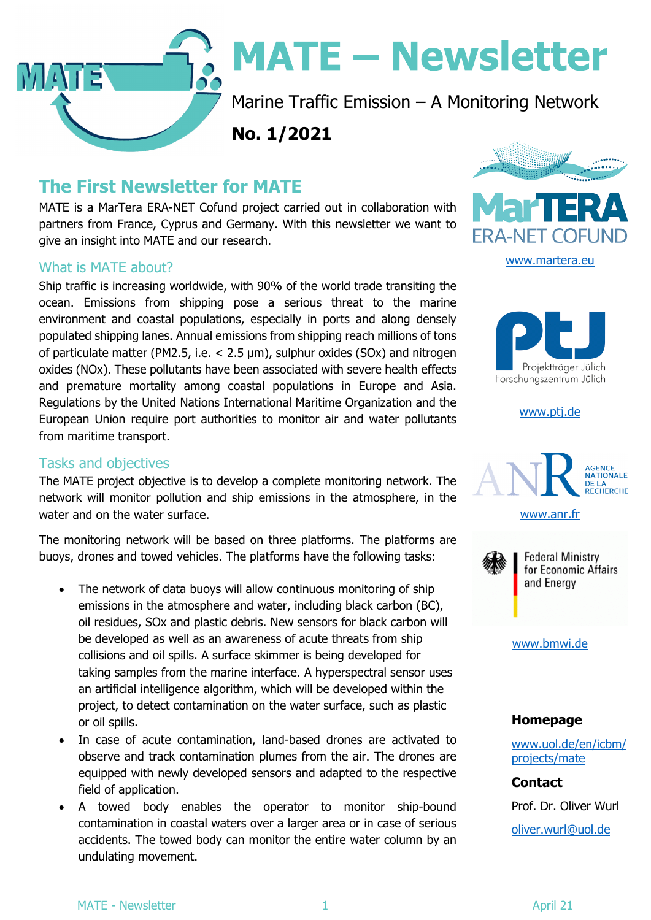

# **MATE - Newsletter**

Marine Traffic Emission – A Monitoring Network

**No. 1/2021** 

## **The First Newsletter for MATE**

MATE is a MarTera ERA-NET Cofund project carried out in collaboration with partners from France, Cyprus and Germany. With this newsletter we want to give an insight into MATE and our research.

#### What is MATE about?

Ship traffic is increasing worldwide, with 90% of the world trade transiting the ocean. Emissions from shipping pose a serious threat to the marine environment and coastal populations, especially in ports and along densely populated shipping lanes. Annual emissions from shipping reach millions of tons of particulate matter (PM2.5, i.e. < 2.5 µm), sulphur oxides (SOx) and nitrogen oxides (NOx). These pollutants have been associated with severe health effects and premature mortality among coastal populations in Europe and Asia. Regulations by the United Nations International Maritime Organization and the European Union require port authorities to monitor air and water pollutants from maritime transport.

#### Tasks and objectives

The MATE project objective is to develop a complete monitoring network. The network will monitor pollution and ship emissions in the atmosphere, in the water and on the water surface.

The monitoring network will be based on three platforms. The platforms are buoys, drones and towed vehicles. The platforms have the following tasks:

- The network of data buoys will allow continuous monitoring of ship emissions in the atmosphere and water, including black carbon (BC), oil residues, SOx and plastic debris. New sensors for black carbon will be developed as well as an awareness of acute threats from ship collisions and oil spills. A surface skimmer is being developed for taking samples from the marine interface. A hyperspectral sensor uses an artificial intelligence algorithm, which will be developed within the project, to detect contamination on the water surface, such as plastic or oil spills.
- In case of acute contamination, land-based drones are activated to observe and track contamination plumes from the air. The drones are equipped with newly developed sensors and adapted to the respective field of application.
- A towed body enables the operator to monitor ship-bound contamination in coastal waters over a larger area or in case of serious accidents. The towed body can monitor the entire water column by an undulating movement.





www.ptj.de



www.anr.fr



**Federal Ministry** for Economic Affairs and Energy

#### www.bmwi.de

#### **Homepage**

www.uol.de/en/icbm/ projects/mate

**Contact**  Prof. Dr. Oliver Wurl

oliver.wurl@uol.de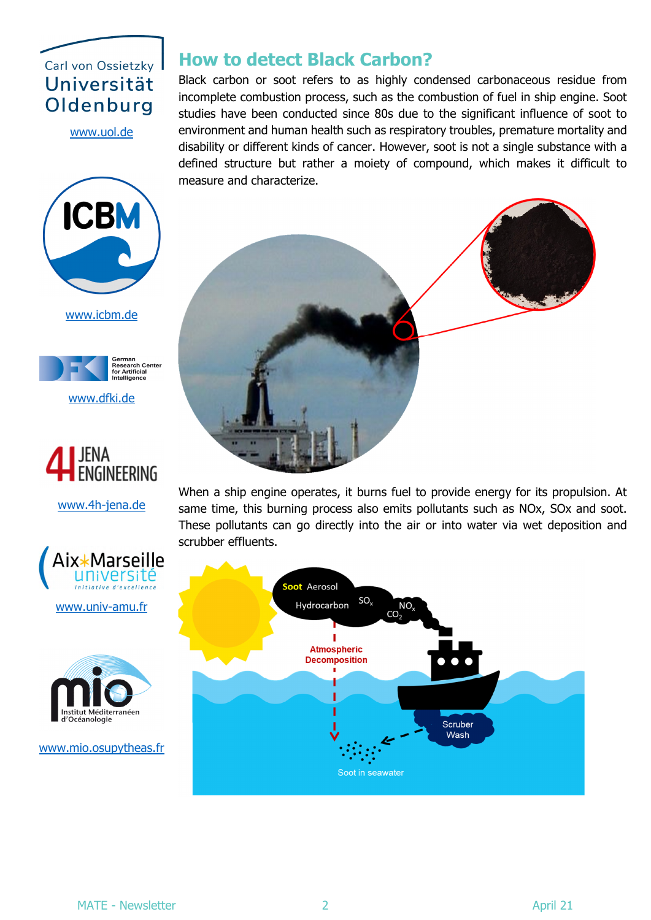## Carl von Ossietzky Universität Oldenburg

www.uol.de



www.icbm.de



www.dfki.de



www.4h-jena.de



www.univ-amu.fr



www.mio.osupytheas.fr

### **How to detect Black Carbon?**

Black carbon or soot refers to as highly condensed carbonaceous residue from incomplete combustion process, such as the combustion of fuel in ship engine. Soot studies have been conducted since 80s due to the significant influence of soot to environment and human health such as respiratory troubles, premature mortality and disability or different kinds of cancer. However, soot is not a single substance with a defined structure but rather a moiety of compound, which makes it difficult to measure and characterize.



When a ship engine operates, it burns fuel to provide energy for its propulsion. At same time, this burning process also emits pollutants such as NOx, SOx and soot. These pollutants can go directly into the air or into water via wet deposition and scrubber effluents.